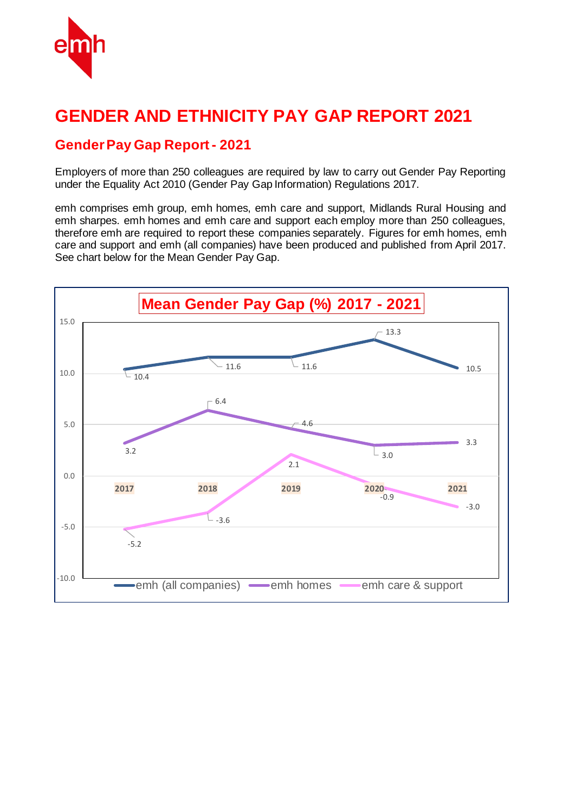

# **GENDER AND ETHNICITY PAY GAP REPORT 2021**

#### **Gender Pay Gap Report - 2021**

Employers of more than 250 colleagues are required by law to carry out Gender Pay Reporting under the Equality Act 2010 (Gender Pay Gap Information) Regulations 2017.

emh comprises emh group, emh homes, emh care and support, Midlands Rural Housing and emh sharpes. emh homes and emh care and support each employ more than 250 colleagues, therefore emh are required to report these companies separately. Figures for emh homes, emh care and support and emh (all companies) have been produced and published from April 2017. See chart below for the Mean Gender Pay Gap.

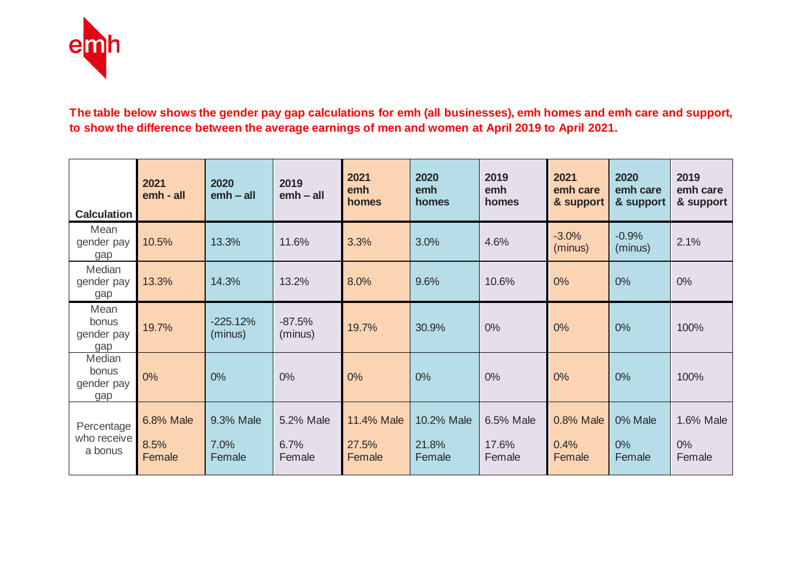

#### **The table below shows the gender pay gap calculations for emh (all businesses), emh homes and emh care and support, to show the difference between the average earnings of men and women at April 2019 to April 2021.**

| <b>Calculation</b>                   | 2021<br>emh - all           | 2020<br>$emb - all$         | 2019<br>$emb - all$         | 2021<br>emh<br>homes          | 2020<br>emh<br>homes          | 2019<br>emh<br>homes         | 2021<br>emh care<br>& support | 2020<br>emh care<br>& support | 2019<br>emh care<br>& support |
|--------------------------------------|-----------------------------|-----------------------------|-----------------------------|-------------------------------|-------------------------------|------------------------------|-------------------------------|-------------------------------|-------------------------------|
| Mean<br>gender pay<br>gap            | 10.5%                       | 13.3%                       | 11.6%                       | 3.3%                          | 3.0%                          | 4.6%                         | $-3.0%$<br>(minus)            | $-0.9%$<br>(minus)            | 2.1%                          |
| Median<br>gender pay<br>gap          | 13.3%                       | 14.3%                       | 13.2%                       | 8.0%                          | 9.6%                          | 10.6%                        | 0%                            | 0%                            | $0\%$                         |
| Mean<br>bonus<br>gender pay<br>gap   | 19.7%                       | $-225.12%$<br>(minus)       | $-87.5%$<br>(minus)         | 19.7%                         | 30.9%                         | $0\%$                        | 0%                            | 0%                            | 100%                          |
| Median<br>bonus<br>gender pay<br>gap | 0%                          | 0%                          | 0%                          | 0%                            | 0%                            | 0%                           | 0%                            | 0%                            | 100%                          |
| Percentage<br>who receive<br>a bonus | 6.8% Male<br>8.5%<br>Female | 9.3% Male<br>7.0%<br>Female | 5.2% Male<br>6.7%<br>Female | 11.4% Male<br>27.5%<br>Female | 10.2% Male<br>21.8%<br>Female | 6.5% Male<br>17.6%<br>Female | 0.8% Male<br>0.4%<br>Female   | 0% Male<br>$0\%$<br>Female    | 1.6% Male<br>$0\%$<br>Female  |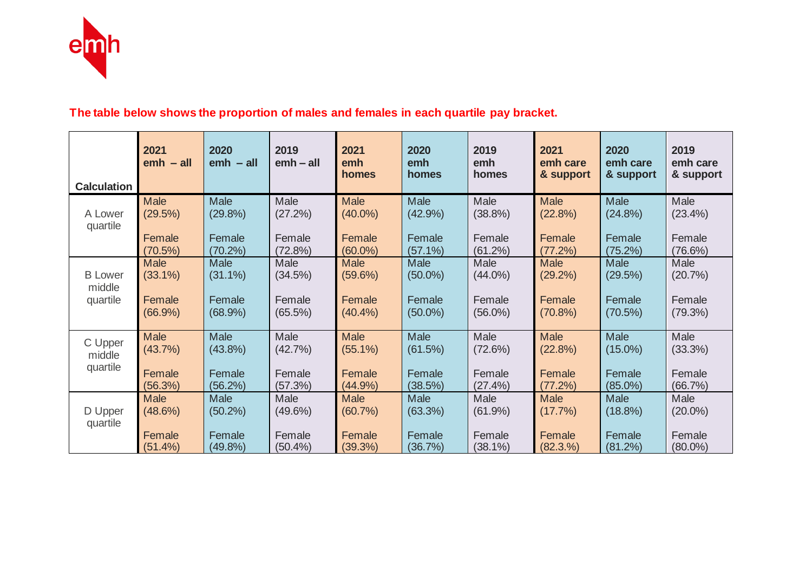

## **The table below shows the proportion of males and females in each quartile pay bracket.**

|                    | 2021<br>$emb - all$ | 2020<br>$emb - all$ | 2019<br>$emb - all$ | 2021<br>emh<br>homes | 2020<br>emh<br>homes | 2019<br>emh<br>homes | 2021<br>emh care<br>& support | 2020<br>emh care<br>& support | 2019<br>emh care<br>& support |
|--------------------|---------------------|---------------------|---------------------|----------------------|----------------------|----------------------|-------------------------------|-------------------------------|-------------------------------|
| <b>Calculation</b> |                     |                     |                     |                      |                      |                      |                               |                               |                               |
| A Lower            | <b>Male</b>         | <b>Male</b>         | Male                | <b>Male</b>          | <b>Male</b>          | Male                 | <b>Male</b>                   | Male                          | Male                          |
| quartile           | (29.5%)             | (29.8%)             | (27.2%)             | $(40.0\%)$           | (42.9%)              | $(38.8\%)$           | (22.8%)                       | (24.8%)                       | $(23.4\%)$                    |
|                    | Female              | Female              | Female              | Female               | Female               | Female               | Female                        | Female                        | Female                        |
|                    | $(70.5\%)$          | $(70.2\%)$          | (72.8%)             | $(60.0\%)$           | $(57.1\%)$           | (61.2%)              | (77.2%)                       | (75.2%)                       | $(76.6\%)$                    |
| <b>B</b> Lower     | <b>Male</b>         | Male                | Male                | <b>Male</b>          | Male                 | Male                 | <b>Male</b>                   | <b>Male</b>                   | Male                          |
| middle             | $(33.1\%)$          | $(31.1\%)$          | (34.5%)             | $(59.6\%)$           | $(50.0\%)$           | $(44.0\%)$           | $(29.2\%)$                    | (29.5%)                       | (20.7%)                       |
| quartile           | Female              | Female              | Female              | Female               | Female               | Female               | Female                        | Female                        | Female                        |
|                    | $(66.9\%)$          | (68.9%)             | $(65.5\%)$          | (40.4%               | $(50.0\%)$           | $(56.0\%)$           | $(70.8\%)$                    | (70.5%)                       | (79.3%)                       |
| C Upper            | Male                | Male                | Male                | <b>Male</b>          | <b>Male</b>          | Male                 | <b>Male</b>                   | Male                          | Male                          |
| middle             | $(43.7\%)$          | $(43.8\%)$          | (42.7%)             | $(55.1\%)$           | (61.5%)              | (72.6%)              | (22.8%)                       | $(15.0\%)$                    | $(33.3\%)$                    |
| quartile           | Female              | Female              | Female              | Female               | Female               | Female               | Female                        | Female                        | Female                        |
|                    | (56.3%)             | (56.2%)             | (57.3%)             | (44.9%)              | (38.5%)              | (27.4%)              | (77.2%)                       | $(85.0\%)$                    | (66.7%)                       |
| D Upper            | <b>Male</b>         | Male                | Male                | <b>Male</b>          | <b>Male</b>          | Male                 | <b>Male</b>                   | Male                          | Male                          |
| quartile           | (48.6%)             | $(50.2\%)$          | $(49.6\%)$          | $(60.7\%)$           | (63.3%)              | $(61.9\%)$           | $(17.7\%)$                    | $(18.8\%)$                    | $(20.0\%)$                    |
|                    | Female              | Female              | Female              | Female               | Female               | Female               | Female                        | Female                        | Female                        |
|                    | (51.4%)             | $(49.8\%)$          | $(50.4\%)$          | (39.3%)              | (36.7%)              | $(38.1\%)$           | (82.3.%)                      | (81.2%)                       | $(80.0\%)$                    |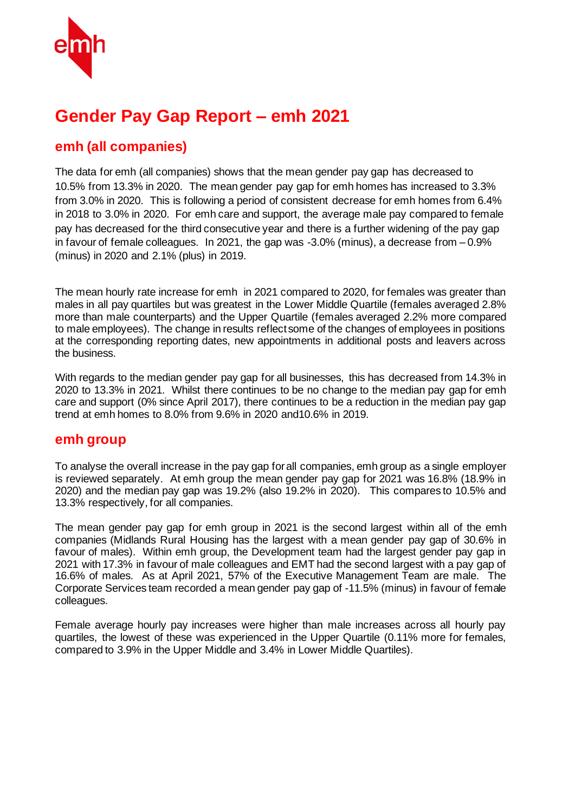

# **Gender Pay Gap Report – emh 2021**

## **emh (all companies)**

The data for emh (all companies) shows that the mean gender pay gap has decreased to 10.5% from 13.3% in 2020. The mean gender pay gap for emh homes has increased to 3.3% from 3.0% in 2020. This is following a period of consistent decrease for emh homes from 6.4% in 2018 to 3.0% in 2020. For emh care and support, the average male pay compared to female pay has decreased for the third consecutive year and there is a further widening of the pay gap in favour of female colleagues. In 2021, the gap was -3.0% (minus), a decrease from – 0.9% (minus) in 2020 and 2.1% (plus) in 2019.

The mean hourly rate increase for emh in 2021 compared to 2020, for females was greater than males in all pay quartiles but was greatest in the Lower Middle Quartile (females averaged 2.8% more than male counterparts) and the Upper Quartile (females averaged 2.2% more compared to male employees). The change in results reflect some of the changes of employees in positions at the corresponding reporting dates, new appointments in additional posts and leavers across the business.

With regards to the median gender pay gap for all businesses, this has decreased from 14.3% in 2020 to 13.3% in 2021. Whilst there continues to be no change to the median pay gap for emh care and support (0% since April 2017), there continues to be a reduction in the median pay gap trend at emh homes to 8.0% from 9.6% in 2020 and10.6% in 2019.

#### **emh group**

To analyse the overall increase in the pay gap for all companies, emh group as a single employer is reviewed separately. At emh group the mean gender pay gap for 2021 was 16.8% (18.9% in 2020) and the median pay gap was 19.2% (also 19.2% in 2020). This compares to 10.5% and 13.3% respectively, for all companies.

The mean gender pay gap for emh group in 2021 is the second largest within all of the emh companies (Midlands Rural Housing has the largest with a mean gender pay gap of 30.6% in favour of males). Within emh group, the Development team had the largest gender pay gap in 2021 with 17.3% in favour of male colleagues and EMT had the second largest with a pay gap of 16.6% of males. As at April 2021, 57% of the Executive Management Team are male. The Corporate Services team recorded a mean gender pay gap of -11.5% (minus) in favour of female colleagues.

Female average hourly pay increases were higher than male increases across all hourly pay quartiles, the lowest of these was experienced in the Upper Quartile (0.11% more for females, compared to 3.9% in the Upper Middle and 3.4% in Lower Middle Quartiles).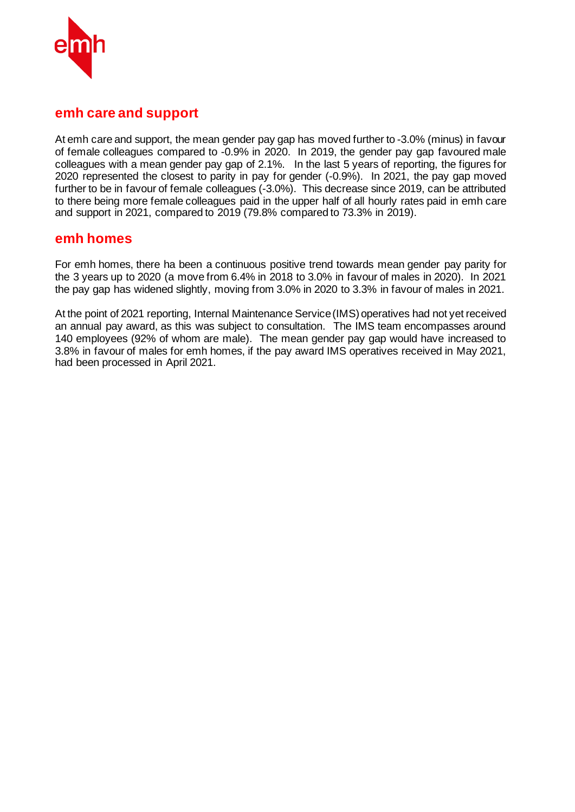

#### **emh care and support**

At emh care and support, the mean gender pay gap has moved further to -3.0% (minus) in favour of female colleagues compared to -0.9% in 2020. In 2019, the gender pay gap favoured male colleagues with a mean gender pay gap of 2.1%. In the last 5 years of reporting, the figures for 2020 represented the closest to parity in pay for gender (-0.9%). In 2021, the pay gap moved further to be in favour of female colleagues (-3.0%). This decrease since 2019, can be attributed to there being more female colleagues paid in the upper half of all hourly rates paid in emh care and support in 2021, compared to 2019 (79.8% compared to 73.3% in 2019).

#### **emh homes**

For emh homes, there ha been a continuous positive trend towards mean gender pay parity for the 3 years up to 2020 (a move from 6.4% in 2018 to 3.0% in favour of males in 2020). In 2021 the pay gap has widened slightly, moving from 3.0% in 2020 to 3.3% in favour of males in 2021.

At the point of 2021 reporting, Internal Maintenance Service (IMS)operatives had not yet received an annual pay award, as this was subject to consultation. The IMS team encompasses around 140 employees (92% of whom are male). The mean gender pay gap would have increased to 3.8% in favour of males for emh homes, if the pay award IMS operatives received in May 2021, had been processed in April 2021.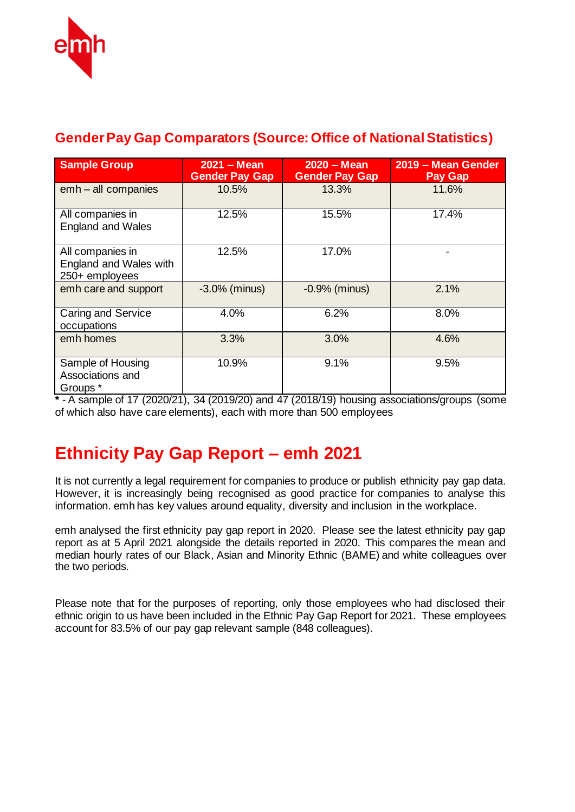

# **Gender Pay Gap Comparators (Source: Office of National Statistics)**

| <b>Sample Group</b>                                          | $2021 - Mean$<br><b>Gender Pay Gap</b> | $2020 - Mean$<br><b>Gender Pay Gap</b> | 2019 - Mean Gender<br><b>Pay Gap</b> |  |
|--------------------------------------------------------------|----------------------------------------|----------------------------------------|--------------------------------------|--|
| emh - all companies                                          | 10.5%                                  | 13.3%                                  | 11.6%                                |  |
| All companies in<br><b>England and Wales</b>                 | 12.5%                                  | 15.5%                                  | 17.4%                                |  |
| All companies in<br>England and Wales with<br>250+ employees | 12.5%                                  | 17.0%                                  |                                      |  |
| emh care and support                                         | $-3.0\%$ (minus)                       | $-0.9%$ (minus)                        | 2.1%                                 |  |
| Caring and Service<br>occupations                            | 4.0%                                   | 6.2%                                   | 8.0%                                 |  |
| emh homes                                                    | 3.3%                                   | 3.0%                                   | 4.6%                                 |  |
| Sample of Housing<br>Associations and<br>Groups *            | 10.9%                                  | 9.1%                                   | 9.5%                                 |  |

**\*** - A sample of 17 (2020/21), 34 (2019/20) and 47 (2018/19) housing associations/groups (some of which also have care elements), each with more than 500 employees

# **Ethnicity Pay Gap Report – emh 2021**

It is not currently a legal requirement for companies to produce or publish ethnicity pay gap data. However, it is increasingly being recognised as good practice for companies to analyse this information. emh has key values around equality, diversity and inclusion in the workplace.

emh analysed the first ethnicity pay gap report in 2020. Please see the latest ethnicity pay gap report as at 5 April 2021 alongside the details reported in 2020. This compares the mean and median hourly rates of our Black, Asian and Minority Ethnic (BAME) and white colleagues over the two periods.

Please note that for the purposes of reporting, only those employees who had disclosed their ethnic origin to us have been included in the Ethnic Pay Gap Report for 2021. These employees account for 83.5% of our pay gap relevant sample (848 colleagues).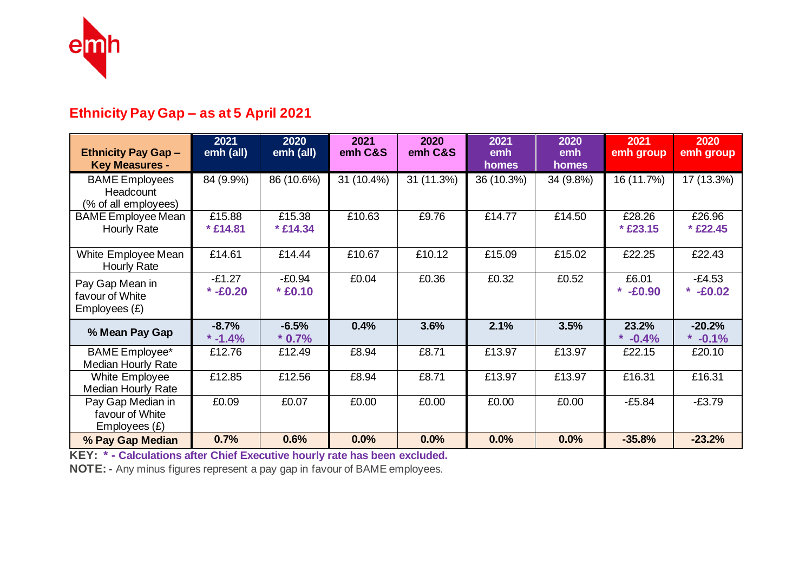

# **Ethnicity Pay Gap – as at 5 April 2021**

| <b>Ethnicity Pay Gap -</b><br><b>Key Measures -</b>        | 2021<br>emh (all)      | 2020<br>emh (all)     | 2021<br>emh C&S | 2020<br>emh C&S | 2021<br>emh<br>homes | 2020<br>emh<br>homes | 2021<br>emh group      | 2020<br>emh group      |
|------------------------------------------------------------|------------------------|-----------------------|-----------------|-----------------|----------------------|----------------------|------------------------|------------------------|
| <b>BAME Employees</b><br>Headcount<br>(% of all employees) | 84 (9.9%)              | 86 (10.6%)            | 31 (10.4%)      | 31 (11.3%)      | 36 (10.3%)           | 34 (9.8%)            | 16 (11.7%)             | 17 (13.3%)             |
| <b>BAME</b> Employee Mean<br>Hourly Rate                   | £15.88<br>* £14.81     | £15.38<br>$*$ £14.34  | £10.63          | £9.76           | £14.77               | £14.50               | £28.26<br>* £23.15     | £26.96<br>* £22.45     |
| White Employee Mean<br><b>Hourly Rate</b>                  | £14.61                 | £14.44                | £10.67          | £10.12          | £15.09               | £15.02               | £22.25                 | £22.43                 |
| Pay Gap Mean in<br>favour of White<br>Employees $(E)$      | $-E1.27$<br>$* -E0.20$ | $-E0.94$<br>$* E0.10$ | £0.04           | £0.36           | £0.32                | £0.52                | £6.01<br>*<br>$-£0.90$ | $-E4.53$<br>* $-£0.02$ |
| % Mean Pay Gap                                             | $-8.7%$<br>$* -1.4%$   | $-6.5%$<br>$*0.7%$    | 0.4%            | 3.6%            | 2.1%                 | 3.5%                 | 23.2%<br>*<br>$-0.4%$  | $-20.2%$<br>$* -0.1%$  |
| <b>BAME</b> Employee*<br>Median Hourly Rate                | £12.76                 | £12.49                | £8.94           | £8.71           | £13.97               | £13.97               | £22.15                 | £20.10                 |
| White Employee<br>Median Hourly Rate                       | £12.85                 | £12.56                | £8.94           | £8.71           | £13.97               | £13.97               | £16.31                 | £16.31                 |
| Pay Gap Median in<br>favour of White<br>Employees $(E)$    | £0.09                  | £0.07                 | £0.00           | £0.00           | £0.00                | £0.00                | $-£5.84$               | $-£3.79$               |
| % Pay Gap Median                                           | 0.7%                   | 0.6%                  | 0.0%            | 0.0%            | 0.0%                 | 0.0%                 | $-35.8%$               | $-23.2%$               |

**KEY: \* - Calculations after Chief Executive hourly rate has been excluded.** 

**NOTE: -** Any minus figures represent a pay gap in favour of BAME employees.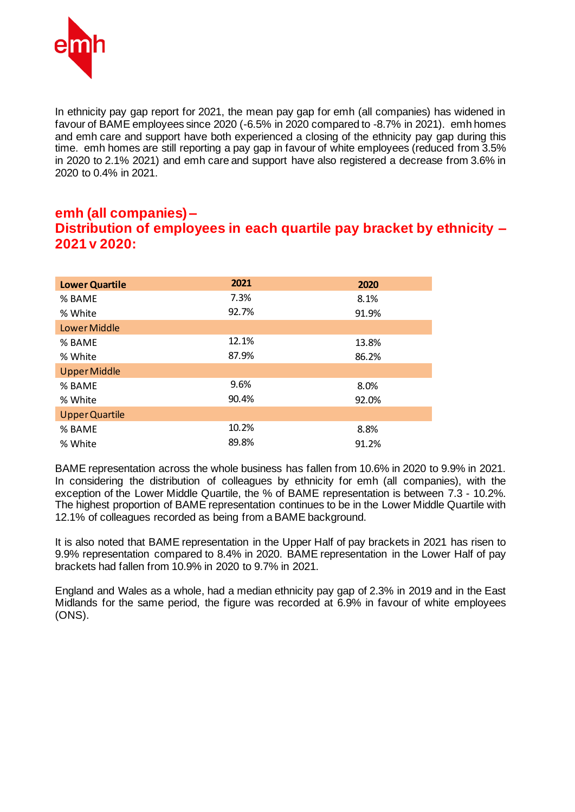

In ethnicity pay gap report for 2021, the mean pay gap for emh (all companies) has widened in favour of BAME employees since 2020 (-6.5% in 2020 compared to -8.7% in 2021). emh homes and emh care and support have both experienced a closing of the ethnicity pay gap during this time. emh homes are still reporting a pay gap in favour of white employees (reduced from 3.5% in 2020 to 2.1% 2021) and emh care and support have also registered a decrease from 3.6% in 2020 to 0.4% in 2021.

#### **emh (all companies) – Distribution of employees in each quartile pay bracket by ethnicity – 2021 v 2020:**

| <b>Lower Quartile</b> | 2021  | 2020  |
|-----------------------|-------|-------|
| % BAME                | 7.3%  | 8.1%  |
| % White               | 92.7% | 91.9% |
| Lower Middle          |       |       |
| % BAME                | 12.1% | 13.8% |
| % White               | 87.9% | 86.2% |
| <b>Upper Middle</b>   |       |       |
| % BAME                | 9.6%  | 8.0%  |
| % White               | 90.4% | 92.0% |
| <b>Upper Quartile</b> |       |       |
| % BAME                | 10.2% | 8.8%  |
| % White               | 89.8% | 91.2% |

BAME representation across the whole business has fallen from 10.6% in 2020 to 9.9% in 2021. In considering the distribution of colleagues by ethnicity for emh (all companies), with the exception of the Lower Middle Quartile, the % of BAME representation is between 7.3 - 10.2%. The highest proportion of BAME representation continues to be in the Lower Middle Quartile with 12.1% of colleagues recorded as being from a BAME background.

It is also noted that BAME representation in the Upper Half of pay brackets in 2021 has risen to 9.9% representation compared to 8.4% in 2020. BAME representation in the Lower Half of pay brackets had fallen from 10.9% in 2020 to 9.7% in 2021.

England and Wales as a whole, had a median ethnicity pay gap of 2.3% in 2019 and in the East Midlands for the same period, the figure was recorded at 6.9% in favour of white employees (ONS).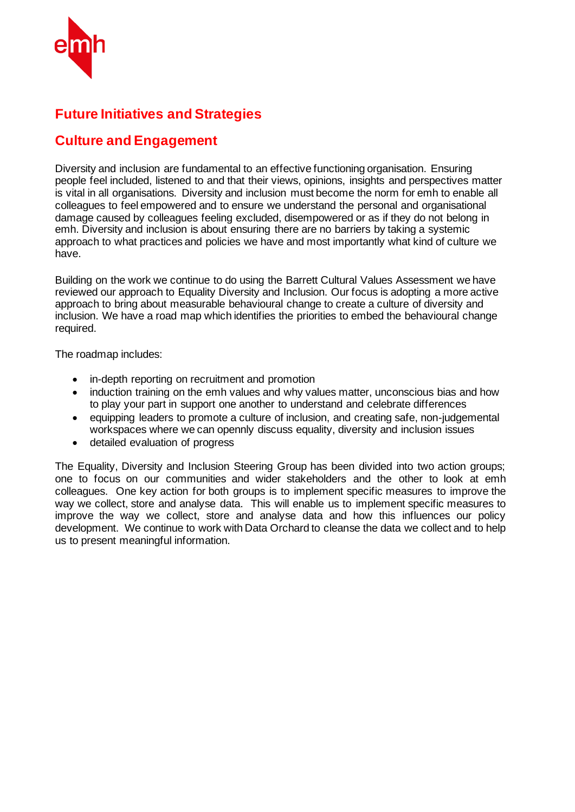

## **Future Initiatives and Strategies**

### **Culture and Engagement**

Diversity and inclusion are fundamental to an effective functioning organisation. Ensuring people feel included, listened to and that their views, opinions, insights and perspectives matter is vital in all organisations. Diversity and inclusion must become the norm for emh to enable all colleagues to feel empowered and to ensure we understand the personal and organisational damage caused by colleagues feeling excluded, disempowered or as if they do not belong in emh. Diversity and inclusion is about ensuring there are no barriers by taking a systemic approach to what practices and policies we have and most importantly what kind of culture we have.

Building on the work we continue to do using the Barrett Cultural Values Assessment we have reviewed our approach to Equality Diversity and Inclusion. Our focus is adopting a more active approach to bring about measurable behavioural change to create a culture of diversity and inclusion. We have a road map which identifies the priorities to embed the behavioural change required.

The roadmap includes:

- in-depth reporting on recruitment and promotion
- induction training on the emh values and why values matter, unconscious bias and how to play your part in support one another to understand and celebrate differences
- equipping leaders to promote a culture of inclusion, and creating safe, non-judgemental workspaces where we can opennly discuss equality, diversity and inclusion issues
- detailed evaluation of progress

The Equality, Diversity and Inclusion Steering Group has been divided into two action groups; one to focus on our communities and wider stakeholders and the other to look at emh colleagues. One key action for both groups is to implement specific measures to improve the way we collect, store and analyse data. This will enable us to implement specific measures to improve the way we collect, store and analyse data and how this influences our policy development. We continue to work with Data Orchard to cleanse the data we collect and to help us to present meaningful information.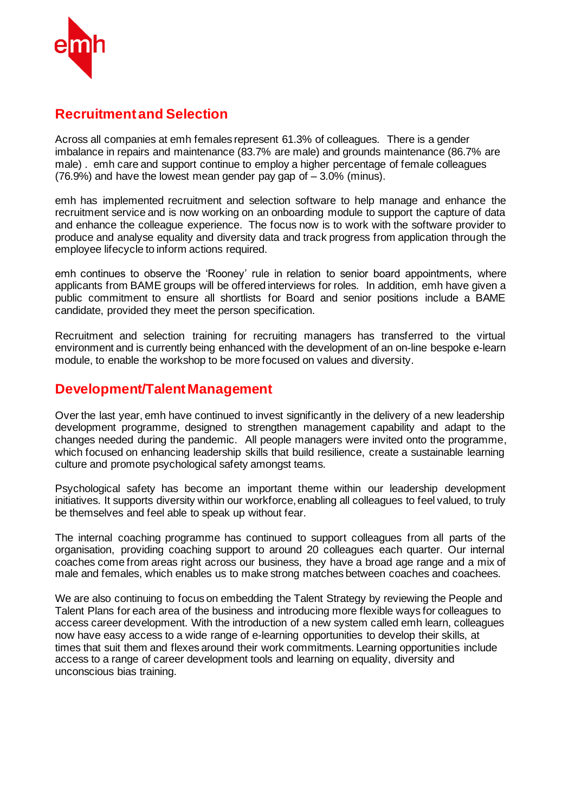

#### **Recruitment and Selection**

Across all companies at emh females represent 61.3% of colleagues. There is a gender imbalance in repairs and maintenance (83.7% are male) and grounds maintenance (86.7% are male) . emh care and support continue to employ a higher percentage of female colleagues  $(76.9%)$  and have the lowest mean gender pay gap of  $-3.0%$  (minus).

emh has implemented recruitment and selection software to help manage and enhance the recruitment service and is now working on an onboarding module to support the capture of data and enhance the colleague experience. The focus now is to work with the software provider to produce and analyse equality and diversity data and track progress from application through the employee lifecycle to inform actions required.

emh continues to observe the 'Rooney' rule in relation to senior board appointments, where applicants from BAME groups will be offered interviews for roles. In addition, emh have given a public commitment to ensure all shortlists for Board and senior positions include a BAME candidate, provided they meet the person specification.

Recruitment and selection training for recruiting managers has transferred to the virtual environment and is currently being enhanced with the development of an on-line bespoke e-learn module, to enable the workshop to be more focused on values and diversity.

#### **Development/Talent Management**

Over the last year, emh have continued to invest significantly in the delivery of a new leadership development programme, designed to strengthen management capability and adapt to the changes needed during the pandemic. All people managers were invited onto the programme, which focused on enhancing leadership skills that build resilience, create a sustainable learning culture and promote psychological safety amongst teams.

Psychological safety has become an important theme within our leadership development initiatives. It supports diversity within our workforce, enabling all colleagues to feel valued, to truly be themselves and feel able to speak up without fear.

The internal coaching programme has continued to support colleagues from all parts of the organisation, providing coaching support to around 20 colleagues each quarter. Our internal coaches come from areas right across our business, they have a broad age range and a mix of male and females, which enables us to make strong matches between coaches and coachees.

We are also continuing to focus on embedding the Talent Strategy by reviewing the People and Talent Plans for each area of the business and introducing more flexible ways for colleagues to access career development. With the introduction of a new system called emh learn, colleagues now have easy access to a wide range of e-learning opportunities to develop their skills, at times that suit them and flexes around their work commitments. Learning opportunities include access to a range of career development tools and learning on equality, diversity and unconscious bias training.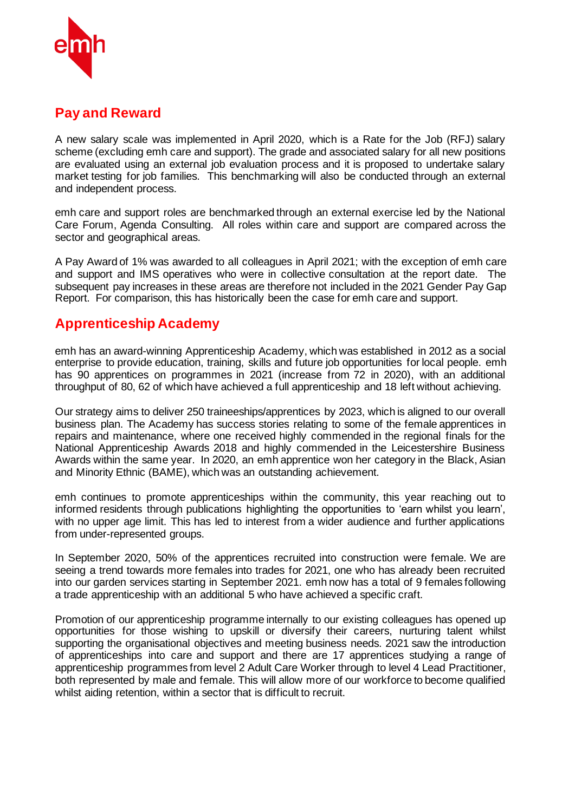

### **Pay and Reward**

A new salary scale was implemented in April 2020, which is a Rate for the Job (RFJ) salary scheme (excluding emh care and support). The grade and associated salary for all new positions are evaluated using an external job evaluation process and it is proposed to undertake salary market testing for job families. This benchmarking will also be conducted through an external and independent process.

emh care and support roles are benchmarked through an external exercise led by the National Care Forum, Agenda Consulting. All roles within care and support are compared across the sector and geographical areas.

A Pay Award of 1% was awarded to all colleagues in April 2021; with the exception of emh care and support and IMS operatives who were in collective consultation at the report date. The subsequent pay increases in these areas are therefore not included in the 2021 Gender Pay Gap Report. For comparison, this has historically been the case for emh care and support.

#### **Apprenticeship Academy**

emh has an award-winning Apprenticeship Academy, which was established in 2012 as a social enterprise to provide education, training, skills and future job opportunities for local people. emh has 90 apprentices on programmes in 2021 (increase from 72 in 2020), with an additional throughput of 80, 62 of which have achieved a full apprenticeship and 18 left without achieving.

Our strategy aims to deliver 250 traineeships/apprentices by 2023, which is aligned to our overall business plan. The Academy has success stories relating to some of the female apprentices in repairs and maintenance, where one received highly commended in the regional finals for the National Apprenticeship Awards 2018 and highly commended in the Leicestershire Business Awards within the same year. In 2020, an emh apprentice won her category in the Black, Asian and Minority Ethnic (BAME), which was an outstanding achievement.

emh continues to promote apprenticeships within the community, this year reaching out to informed residents through publications highlighting the opportunities to 'earn whilst you learn', with no upper age limit. This has led to interest from a wider audience and further applications from under-represented groups.

In September 2020, 50% of the apprentices recruited into construction were female. We are seeing a trend towards more females into trades for 2021, one who has already been recruited into our garden services starting in September 2021. emh now has a total of 9 females following a trade apprenticeship with an additional 5 who have achieved a specific craft.

Promotion of our apprenticeship programme internally to our existing colleagues has opened up opportunities for those wishing to upskill or diversify their careers, nurturing talent whilst supporting the organisational objectives and meeting business needs. 2021 saw the introduction of apprenticeships into care and support and there are 17 apprentices studying a range of apprenticeship programmes from level 2 Adult Care Worker through to level 4 Lead Practitioner, both represented by male and female. This will allow more of our workforce to become qualified whilst aiding retention, within a sector that is difficult to recruit.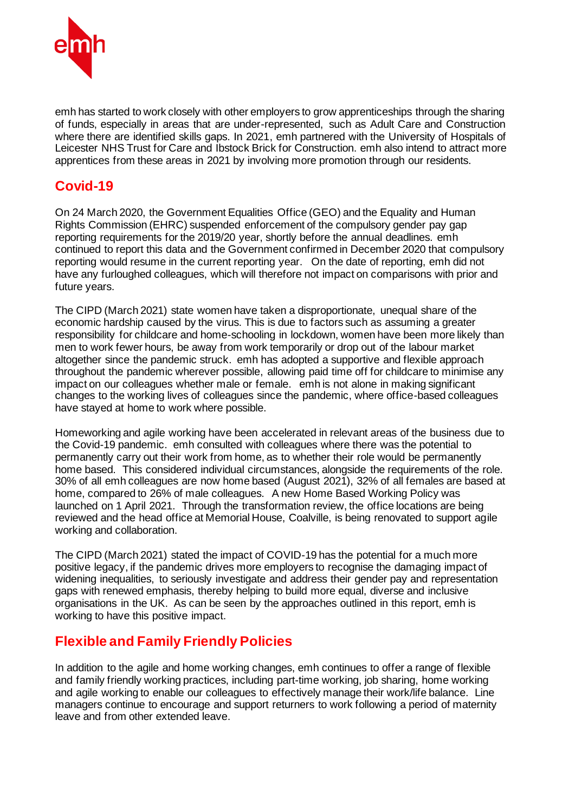

emh has started to work closely with other employers to grow apprenticeships through the sharing of funds, especially in areas that are under-represented, such as Adult Care and Construction where there are identified skills gaps. In 2021, emh partnered with the University of Hospitals of Leicester NHS Trust for Care and Ibstock Brick for Construction. emh also intend to attract more apprentices from these areas in 2021 by involving more promotion through our residents.

## **Covid-19**

On 24 March 2020, the Government Equalities Office (GEO) and the Equality and Human Rights Commission (EHRC) suspended enforcement of the compulsory gender pay gap reporting requirements for the 2019/20 year, shortly before the annual deadlines. emh continued to report this data and the Government confirmed in December 2020 that compulsory reporting would resume in the current reporting year. On the date of reporting, emh did not have any furloughed colleagues, which will therefore not impact on comparisons with prior and future years.

The CIPD (March 2021) state women have taken a disproportionate, unequal share of the economic hardship caused by the virus. This is due to factors such as assuming a greater responsibility for childcare and home-schooling in lockdown, women have been more likely than men to work fewer hours, be away from work temporarily or drop out of the labour market altogether since the pandemic struck. emh has adopted a supportive and flexible approach throughout the pandemic wherever possible, allowing paid time off for childcare to minimise any impact on our colleagues whether male or female. emh is not alone in making significant changes to the working lives of colleagues since the pandemic, where office-based colleagues have stayed at home to work where possible.

Homeworking and agile working have been accelerated in relevant areas of the business due to the Covid-19 pandemic. emh consulted with colleagues where there was the potential to permanently carry out their work from home, as to whether their role would be permanently home based. This considered individual circumstances, alongside the requirements of the role. 30% of all emh colleagues are now home based (August 2021), 32% of all females are based at home, compared to 26% of male colleagues. A new Home Based Working Policy was launched on 1 April 2021. Through the transformation review, the office locations are being reviewed and the head office at Memorial House, Coalville, is being renovated to support agile working and collaboration.

The CIPD (March 2021) stated the impact of COVID-19 has the potential for a much more positive legacy, if the pandemic drives more employers to recognise the damaging impact of widening inequalities, to seriously investigate and address their gender pay and representation gaps with renewed emphasis, thereby helping to build more equal, diverse and inclusive organisations in the UK. As can be seen by the approaches outlined in this report, emh is working to have this positive impact.

#### **Flexible and Family Friendly Policies**

In addition to the agile and home working changes, emh continues to offer a range of flexible and family friendly working practices, including part-time working, job sharing, home working and agile working to enable our colleagues to effectively manage their work/life balance. Line managers continue to encourage and support returners to work following a period of maternity leave and from other extended leave.